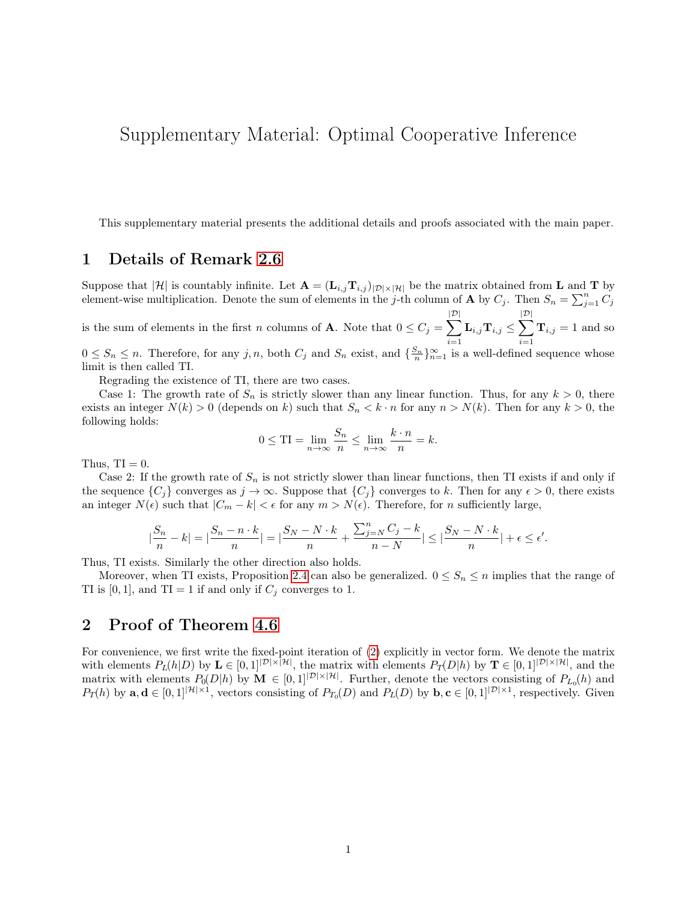# <span id="page-0-0"></span>Supplementary Material: Optimal Cooperative Inference

This supplementary material presents the additional details and proofs associated with the main paper.

### 1 Details of Remark 2.6

Suppose that  $|\mathcal{H}|$  is countably infinite. Let  $\mathbf{A} = (\mathbf{L}_{i,j} \mathbf{T}_{i,j})_{|\mathcal{D}| \times |\mathcal{H}|}$  be the matrix obtained from **L** and **T** by element-wise multiplication. Denote the sum of elements in the j-th column of **A** by  $C_j$ . Then  $S_n = \sum_{j=1}^n C_j$ 

is the sum of elements in the first n columns of **A**. Note that  $0 \le C_j = \sum$  $|\mathcal{D}|$  $i=1$  $\mathbf{L}_{i,j} \mathbf{T}_{i,j} \leq \sum$  $|\mathcal{D}|$  $i=1$  $\mathbf{T}_{i,j} = 1$  and so

 $0 \leq S_n \leq n$ . Therefore, for any j, n, both  $C_j$  and  $S_n$  exist, and  $\{\frac{S_n}{n}\}_{n=1}^{\infty}$  is a well-defined sequence whose limit is then called TI.

Regrading the existence of TI, there are two cases.

Case 1: The growth rate of  $S_n$  is strictly slower than any linear function. Thus, for any  $k > 0$ , there exists an integer  $N(k) > 0$  (depends on k) such that  $S_n < k \cdot n$  for any  $n > N(k)$ . Then for any  $k > 0$ , the following holds:

$$
0 \leq \text{TI} = \lim_{n \to \infty} \frac{S_n}{n} \leq \lim_{n \to \infty} \frac{k \cdot n}{n} = k.
$$

Thus,  $TI = 0$ .

Case 2: If the growth rate of  $S_n$  is not strictly slower than linear functions, then TI exists if and only if the sequence  $\{C_j\}$  converges as  $j \to \infty$ . Suppose that  $\{C_j\}$  converges to k. Then for any  $\epsilon > 0$ , there exists an integer  $N(\epsilon)$  such that  $|C_m - k| < \epsilon$  for any  $m > N(\epsilon)$ . Therefore, for n sufficiently large,

$$
|\frac{S_n}{n} - k| = |\frac{S_n - n \cdot k}{n}| = |\frac{S_N - N \cdot k}{n} + \frac{\sum_{j=N}^n C_j - k}{n - N}| \le |\frac{S_N - N \cdot k}{n}| + \epsilon \le \epsilon'.
$$

Thus, TI exists. Similarly the other direction also holds.

Moreover, when TI exists, Proposition 2.4 can also be generalized.  $0 \leq S_n \leq n$  implies that the range of TI is [0, 1], and TI = 1 if and only if  $C_j$  converges to 1.

### 2 Proof of Theorem 4.6

For convenience, we first write the fixed-point iteration of (2) explicitly in vector form. We denote the matrix with elements  $P_L(h|D)$  by  $\mathbf{L} \in [0,1]^{|\mathcal{D}|\times|\mathcal{H}|}$ , the matrix with elements  $P_T(D|h)$  by  $\mathbf{T} \in [0,1]^{|\mathcal{D}|\times|\mathcal{H}|}$ , and the matrix with elements  $P_0(D|h)$  by  $\mathbf{M} \in [0,1]^{|\mathcal{D}|\times|\mathcal{H}|}$ . Further, denote the vectors consisting of  $P_{L_0}(h)$  and  $P_T(h)$  by  $\mathbf{a}, \mathbf{d} \in [0,1]^{|\mathcal{H}|\times 1}$ , vectors consisting of  $P_{T_0}(D)$  and  $P_L(D)$  by  $\mathbf{b}, \mathbf{c} \in [0,1]^{|\mathcal{D}|\times 1}$ , respectively. Given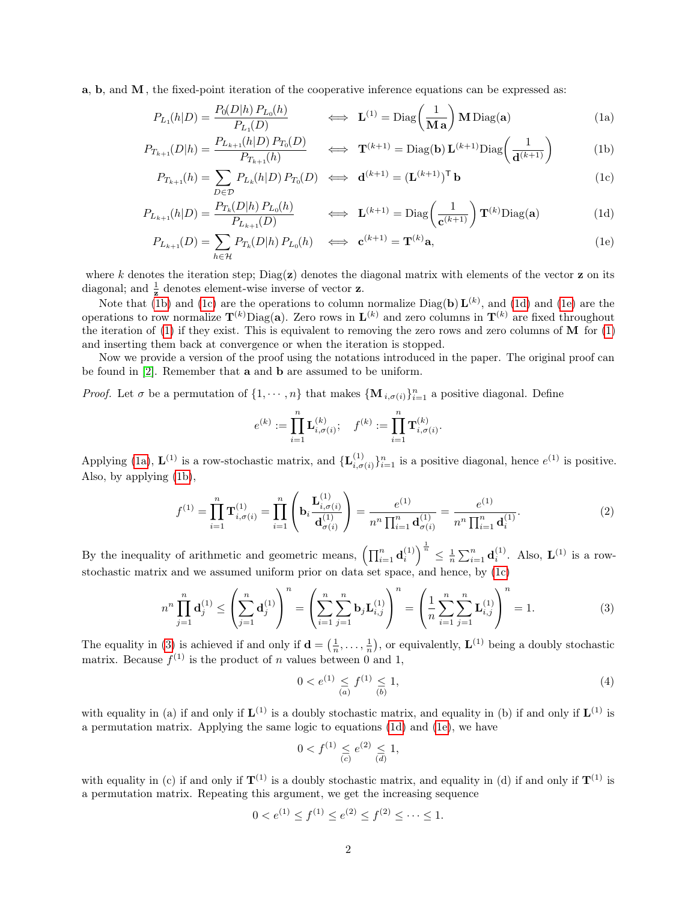a, b, and M, the fixed-point iteration of the cooperative inference equations can be expressed as:

<span id="page-1-4"></span>
$$
P_{L_1}(h|D) = \frac{P_0(D|h) P_{L_0}(h)}{P_{L_1}(D)} \qquad \Longleftrightarrow \quad \mathbf{L}^{(1)} = \text{Diag}\left(\frac{1}{\mathbf{M}\,\mathbf{a}}\right) \mathbf{M}\,\text{Diag}(\mathbf{a})\tag{1a}
$$

$$
P_{T_{k+1}}(D|h) = \frac{P_{L_{k+1}}(h|D) P_{T_0}(D)}{P_{T_{k+1}}(h)} \qquad \Longleftrightarrow \quad \mathbf{T}^{(k+1)} = \text{Diag}(\mathbf{b}) \mathbf{L}^{(k+1)} \text{Diag}\left(\frac{1}{\mathbf{d}^{(k+1)}}\right) \tag{1b}
$$

$$
P_{T_{k+1}}(h) = \sum_{D \in \mathcal{D}} P_{L_k}(h|D) P_{T_0}(D) \iff \mathbf{d}^{(k+1)} = (\mathbf{L}^{(k+1)})^{\mathsf{T}} \mathbf{b}
$$
(1c)

$$
P_{L_{k+1}}(h|D) = \frac{P_{T_k}(D|h) P_{L_0}(h)}{P_{L_{k+1}}(D)} \qquad \iff \mathbf{L}^{(k+1)} = \text{Diag}\left(\frac{1}{\mathbf{c}^{(k+1)}}\right) \mathbf{T}^{(k)} \text{Diag}(\mathbf{a}) \tag{1d}
$$

$$
P_{L_{k+1}}(D) = \sum_{h \in \mathcal{H}} P_{T_k}(D|h) P_{L_0}(h) \quad \Longleftrightarrow \quad \mathbf{c}^{(k+1)} = \mathbf{T}^{(k)} \mathbf{a}, \tag{1e}
$$

where k denotes the iteration step;  $Diag(z)$  denotes the diagonal matrix with elements of the vector z on its diagonal; and  $\frac{1}{z}$  denotes element-wise inverse of vector **z**.

Note that [\(1b\)](#page-1-0) and [\(1c\)](#page-1-1) are the operations to column normalize  $Diag(b) L^{(k)}$ , and [\(1d\)](#page-1-2) and [\(1e\)](#page-1-3) are the operations to row normalize  $T^{(k)}$ Diag(a). Zero rows in  $L^{(k)}$  and zero columns in  $T^{(k)}$  are fixed throughout the iteration of  $(1)$  if they exist. This is equivalent to removing the zero rows and zero columns of M for  $(1)$ and inserting them back at convergence or when the iteration is stopped.

Now we provide a version of the proof using the notations introduced in the paper. The original proof can be found in [\[2\]](#page-4-0). Remember that a and b are assumed to be uniform.

*Proof.* Let  $\sigma$  be a permutation of  $\{1, \dots, n\}$  that makes  $\{\mathbf{M}_{i,\sigma(i)}\}_{i=1}^n$  a positive diagonal. Define

<span id="page-1-3"></span><span id="page-1-2"></span><span id="page-1-1"></span><span id="page-1-0"></span>
$$
e^{(k)} := \prod_{i=1}^n \mathbf{L}_{i,\sigma(i)}^{(k)}; \quad f^{(k)} := \prod_{i=1}^n \mathbf{T}_{i,\sigma(i)}^{(k)}.
$$

Applying [\(1a\)](#page-1-4),  $\mathbf{L}^{(1)}$  is a row-stochastic matrix, and  $\{\mathbf{L}^{(1)}_{i,\sigma}\}$  $\{a_{i,\sigma(i)}^{(1)}\}_{i=1}^n$  is a positive diagonal, hence  $e^{(1)}$  is positive. Also, by applying [\(1b\)](#page-1-0),

$$
f^{(1)} = \prod_{i=1}^{n} \mathbf{T}_{i, \sigma(i)}^{(1)} = \prod_{i=1}^{n} \left( \mathbf{b}_{i} \frac{\mathbf{L}_{i, \sigma(i)}^{(1)}}{\mathbf{d}_{\sigma(i)}^{(1)}} \right) = \frac{e^{(1)}}{n^{n} \prod_{i=1}^{n} \mathbf{d}_{\sigma(i)}^{(1)}} = \frac{e^{(1)}}{n^{n} \prod_{i=1}^{n} \mathbf{d}_{i}^{(1)}}.
$$
 (2)

By the inequality of arithmetic and geometric means,  $\left(\prod_{i=1}^n \mathbf{d}_i^{(1)}\right)^{\frac{1}{n}} \leq \frac{1}{n} \sum_{i=1}^n \mathbf{d}_i^{(1)}$ . Also,  $\mathbf{L}^{(1)}$  is a rowstochastic matrix and we assumed uniform prior on data set space, and hence, by [\(1c\)](#page-1-1)

$$
n^{n} \prod_{j=1}^{n} \mathbf{d}_{j}^{(1)} \leq \left(\sum_{j=1}^{n} \mathbf{d}_{j}^{(1)}\right)^{n} = \left(\sum_{i=1}^{n} \sum_{j=1}^{n} \mathbf{b}_{j} \mathbf{L}_{i,j}^{(1)}\right)^{n} = \left(\frac{1}{n} \sum_{i=1}^{n} \sum_{j=1}^{n} \mathbf{L}_{i,j}^{(1)}\right)^{n} = 1.
$$
 (3)

The equality in [\(3\)](#page-1-1) is achieved if and only if  $\mathbf{d} = (\frac{1}{n}, \dots, \frac{1}{n})$ , or equivalently,  $\mathbf{L}^{(1)}$  being a doubly stochastic matrix. Because  $f^{(1)}$  is the product of n values between 0 and 1,

$$
0 < e^{(1)} \leq f^{(1)} \leq 1,\tag{4}
$$

with equality in (a) if and only if  $\mathbf{L}^{(1)}$  is a doubly stochastic matrix, and equality in (b) if and only if  $\mathbf{L}^{(1)}$  is a permutation matrix. Applying the same logic to equations [\(1d\)](#page-1-2) and [\(1e\)](#page-1-3), we have

$$
0 < f^{(1)} \leq e^{(2)} \leq 1,
$$
\n(c)

with equality in (c) if and only if  $\mathbf{T}^{(1)}$  is a doubly stochastic matrix, and equality in (d) if and only if  $\mathbf{T}^{(1)}$  is a permutation matrix. Repeating this argument, we get the increasing sequence

$$
0 < e^{(1)} \le f^{(1)} \le e^{(2)} \le f^{(2)} \le \dots \le 1.
$$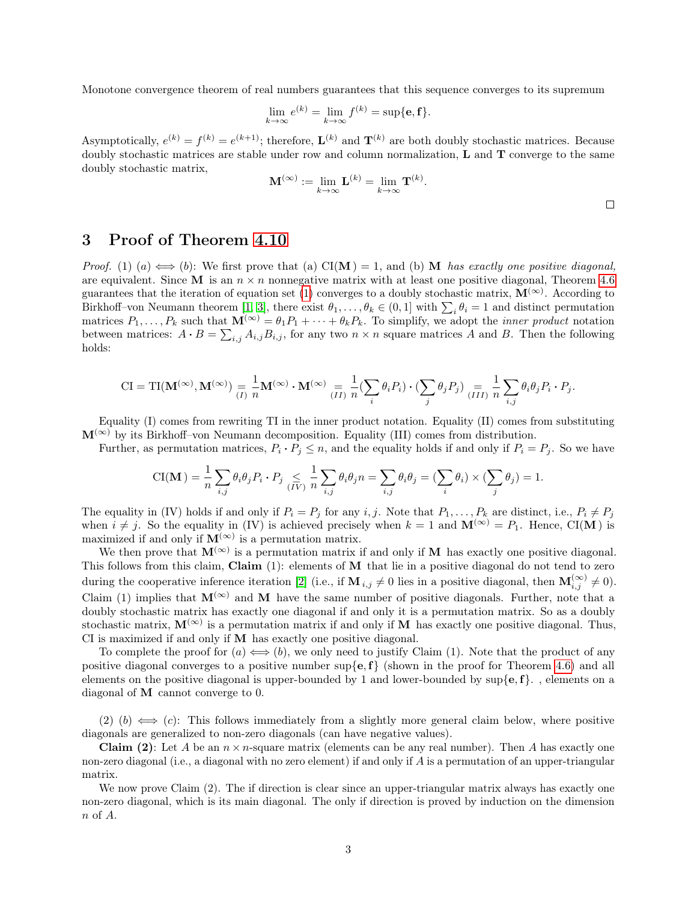Monotone convergence theorem of real numbers guarantees that this sequence converges to its supremum

$$
\lim_{k \to \infty} e^{(k)} = \lim_{k \to \infty} f^{(k)} = \sup \{ \mathbf{e}, \mathbf{f} \}.
$$

Asymptotically,  $e^{(k)} = f^{(k)} = e^{(k+1)}$ ; therefore,  $\mathbf{L}^{(k)}$  and  $\mathbf{T}^{(k)}$  are both doubly stochastic matrices. Because doubly stochastic matrices are stable under row and column normalization, L and T converge to the same doubly stochastic matrix,

$$
\mathbf{M}^{(\infty)} := \lim_{k \to \infty} \mathbf{L}^{(k)} = \lim_{k \to \infty} \mathbf{T}^{(k)}.
$$

## 3 Proof of Theorem [4.10](#page-0-0)

*Proof.* (1) (a)  $\Longleftrightarrow$  (b): We first prove that (a) CI(M) = 1, and (b) M has exactly one positive diagonal, are equivalent. Since M is an  $n \times n$  nonnegative matrix with at least one positive diagonal, Theorem [4.6](#page-0-0) guarantees that the iteration of equation set [\(1\)](#page-1-3) converges to a doubly stochastic matrix,  $\mathbf{M}^{(\infty)}$ . According to Birkhoff-von Neumann theorem [\[1,](#page-4-1) [3\]](#page-4-2), there exist  $\theta_1, \ldots, \theta_k \in (0,1]$  with  $\sum_i \theta_i = 1$  and distinct permutation matrices  $P_1, \ldots, P_k$  such that  $\mathbf{M}^{(\infty)} = \theta_1 P_1 + \cdots + \theta_k P_k$ . To simplify, we adopt the *inner product* notation between matrices:  $A \cdot B = \sum_{i,j} A_{i,j} B_{i,j}$ , for any two  $n \times n$  square matrices A and B. Then the following holds:

$$
\mathrm{CI} = \mathrm{TI}(\mathbf{M}^{(\infty)}, \mathbf{M}^{(\infty)}) \underset{(I)}{=} \frac{1}{n} \mathbf{M}^{(\infty)} \cdot \mathbf{M}^{(\infty)} \underset{(II)}{=} \frac{1}{n} \bigl( \sum_{i} \theta_i P_i \bigr) \cdot \bigl( \sum_{j} \theta_j P_j \bigr) \underset{(III)}{=} \frac{1}{n} \sum_{i,j} \theta_i \theta_j P_i \cdot P_j.
$$

Equality (I) comes from rewriting TI in the inner product notation. Equality (II) comes from substituting  $M^{(\infty)}$  by its Birkhoff–von Neumann decomposition. Equality (III) comes from distribution.

Further, as permutation matrices,  $P_i \cdot P_j \leq n$ , and the equality holds if and only if  $P_i = P_j$ . So we have

$$
\text{CI}(\mathbf{M}) = \frac{1}{n} \sum_{i,j} \theta_i \theta_j P_i \cdot P_j \leq \frac{1}{(IV)} \frac{1}{n} \sum_{i,j} \theta_i \theta_j n = \sum_{i,j} \theta_i \theta_j = (\sum_i \theta_i) \times (\sum_j \theta_j) = 1.
$$

The equality in (IV) holds if and only if  $P_i = P_j$  for any i, j. Note that  $P_1, \ldots, P_k$  are distinct, i.e.,  $P_i \neq P_j$ when  $i \neq j$ . So the equality in (IV) is achieved precisely when  $k = 1$  and  $\mathbf{M}^{(\infty)} = P_1$ . Hence, CI(M) is maximized if and only if  $\mathbf{M}^{(\infty)}$  is a permutation matrix.

We then prove that  $M^{(\infty)}$  is a permutation matrix if and only if M has exactly one positive diagonal. This follows from this claim, Claim (1): elements of M that lie in a positive diagonal do not tend to zero during the cooperative inference iteration [\[2\]](#page-4-0) (i.e., if  $\mathbf{M}_{i,j} \neq 0$  lies in a positive diagonal, then  $\mathbf{M}_{i,j}^{(\infty)} \neq 0$ ). Claim (1) implies that  $M^{(\infty)}$  and M have the same number of positive diagonals. Further, note that a doubly stochastic matrix has exactly one diagonal if and only it is a permutation matrix. So as a doubly stochastic matrix,  $M^{(\infty)}$  is a permutation matrix if and only if M has exactly one positive diagonal. Thus, CI is maximized if and only if M has exactly one positive diagonal.

To complete the proof for  $(a) \iff (b)$ , we only need to justify Claim (1). Note that the product of any positive diagonal converges to a positive number  $\sup\{e, f\}$  (shown in the proof for Theorem [4.6\)](#page-0-0) and all elements on the positive diagonal is upper-bounded by 1 and lower-bounded by  $\sup\{e, f\}$ . diagonal of M cannot converge to 0.

(2) (b)  $\iff$  (c): This follows immediately from a slightly more general claim below, where positive diagonals are generalized to non-zero diagonals (can have negative values).

**Claim (2):** Let A be an  $n \times n$ -square matrix (elements can be any real number). Then A has exactly one non-zero diagonal (i.e., a diagonal with no zero element) if and only if A is a permutation of an upper-triangular matrix.

We now prove Claim  $(2)$ . The if direction is clear since an upper-triangular matrix always has exactly one non-zero diagonal, which is its main diagonal. The only if direction is proved by induction on the dimension n of A.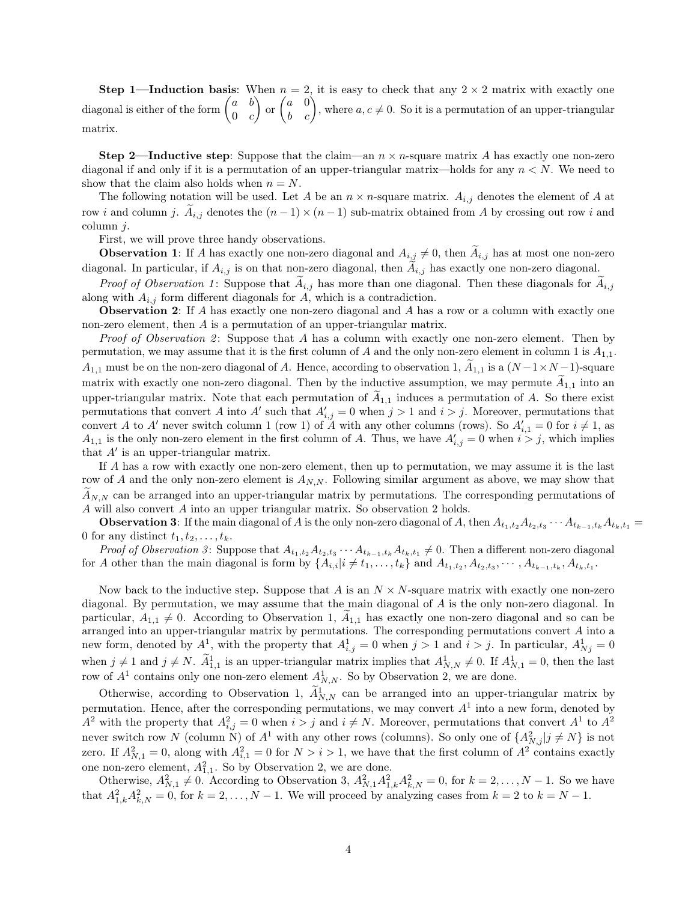**Step 1—Induction basis:** When  $n = 2$ , it is easy to check that any  $2 \times 2$  matrix with exactly one diagonal is either of the form  $\begin{pmatrix} a & b \\ 0 & a \end{pmatrix}$  $0 \quad c$  $\binom{a}{b}$  or  $\binom{a}{b}$ , where  $a, c \neq 0$ . So it is a permutation of an upper-triangular matrix.

**Step 2—Inductive step:** Suppose that the claim—an  $n \times n$ -square matrix A has exactly one non-zero diagonal if and only if it is a permutation of an upper-triangular matrix—holds for any  $n < N$ . We need to show that the claim also holds when  $n = N$ .

The following notation will be used. Let A be an  $n \times n$ -square matrix.  $A_{i,j}$  denotes the element of A at row i and column j.  $A_{i,j}$  denotes the  $(n-1) \times (n-1)$  sub-matrix obtained from A by crossing out row i and column  $j$ .

First, we will prove three handy observations.

**Observation 1:** If A has exactly one non-zero diagonal and  $A_{i,j} \neq 0$ , then  $A_{i,j}$  has at most one non-zero diagonal. In particular, if  $A_{i,j}$  is on that non-zero diagonal, then  $A_{i,j}$  has exactly one non-zero diagonal.

*Proof of Observation 1*: Suppose that  $A_{i,j}$  has more than one diagonal. Then these diagonals for  $A_{i,j}$ along with  $A_{i,j}$  form different diagonals for  $A$ , which is a contradiction.

Observation 2: If A has exactly one non-zero diagonal and A has a row or a column with exactly one non-zero element, then A is a permutation of an upper-triangular matrix.

*Proof of Observation 2*: Suppose that A has a column with exactly one non-zero element. Then by permutation, we may assume that it is the first column of A and the only non-zero element in column 1 is  $A_{1,1}$ .  $A_{1,1}$  must be on the non-zero diagonal of A. Hence, according to observation 1,  $A_{1,1}$  is a  $(N-1\times N-1)$ -square matrix with exactly one non-zero diagonal. Then by the inductive assumption, we may permute  $A_{1,1}$  into an upper-triangular matrix. Note that each permutation of  $A_{1,1}$  induces a permutation of A. So there exist permutations that convert A into A' such that  $A'_{i,j} = 0$  when  $j > 1$  and  $i > j$ . Moreover, permutations that convert A to A' never switch column 1 (row 1) of A with any other columns (rows). So  $A'_{i,1} = 0$  for  $i \neq 1$ , as  $A_{1,1}$  is the only non-zero element in the first column of A. Thus, we have  $A'_{i,j} = 0$  when  $i > j$ , which implies that  $A'$  is an upper-triangular matrix.

If A has a row with exactly one non-zero element, then up to permutation, we may assume it is the last row of A and the only non-zero element is  $A_{N,N}$ . Following similar argument as above, we may show that  $A_{N,N}$  can be arranged into an upper-triangular matrix by permutations. The corresponding permutations of A will also convert A into an upper triangular matrix. So observation 2 holds.

**Observation 3:** If the main diagonal of A is the only non-zero diagonal of A, then  $A_{t_1,t_2}A_{t_2,t_3}\cdots A_{t_{k-1},t_k}A_{t_k,t_1} =$ 0 for any distinct  $t_1, t_2, \ldots, t_k$ .

*Proof of Observation 3*: Suppose that  $A_{t_1,t_2}A_{t_2,t_3}\cdots A_{t_{k-1},t_k}A_{t_k,t_1}\neq 0$ . Then a different non-zero diagonal for A other than the main diagonal is form by  $\{A_{i,i}|i \neq t_1,\ldots,t_k\}$  and  $A_{t_1,t_2}, A_{t_2,t_3}, \cdots, A_{t_{k-1},t_k}, A_{t_k,t_1}$ .

Now back to the inductive step. Suppose that A is an  $N \times N$ -square matrix with exactly one non-zero diagonal. By permutation, we may assume that the main diagonal of A is the only non-zero diagonal. In particular,  $A_{1,1} \neq 0$ . According to Observation 1,  $A_{1,1}$  has exactly one non-zero diagonal and so can be arranged into an upper-triangular matrix by permutations. The corresponding permutations convert A into a new form, denoted by  $A^1$ , with the property that  $A^1_{i,j} = 0$  when  $j > 1$  and  $i > j$ . In particular,  $A^1_{Nj} = 0$ when  $j \neq 1$  and  $j \neq N$ .  $\tilde{A}_{1,1}^1$  is an upper-triangular matrix implies that  $A_{N,N}^1 \neq 0$ . If  $A_{N,1}^1 = 0$ , then the last row of  $A<sup>1</sup>$  contains only one non-zero element  $A<sup>1</sup><sub>N,N</sub>$ . So by Observation 2, we are done.

Otherwise, according to Observation 1,  $\tilde{A}_{N,N}^1$  can be arranged into an upper-triangular matrix by permutation. Hence, after the corresponding permutations, we may convert  $A<sup>1</sup>$  into a new form, denoted by  $A^2$  with the property that  $A_{i,j}^2 = 0$  when  $i > j$  and  $i \neq N$ . Moreover, permutations that convert  $A^1$  to  $A^2$ never switch row N (column N) of  $A^1$  with any other rows (columns). So only one of  $\{A^2_{N,j} | j \neq N\}$  is not zero. If  $A_{N,1}^2 = 0$ , along with  $A_{i,1}^2 = 0$  for  $N > i > 1$ , we have that the first column of  $A^2$  contains exactly one non-zero element,  $A_{1,1}^2$ . So by Observation 2, we are done.

Otherwise,  $A_{N,1}^2 \neq 0$ . According to Observation 3,  $A_{N,1}^2 A_{1,k}^2 A_{k,N}^2 = 0$ , for  $k = 2, \ldots, N-1$ . So we have that  $A_{1,k}^2 A_{k,N}^2 = 0$ , for  $k = 2, ..., N-1$ . We will proceed by analyzing cases from  $k = 2$  to  $k = N-1$ .